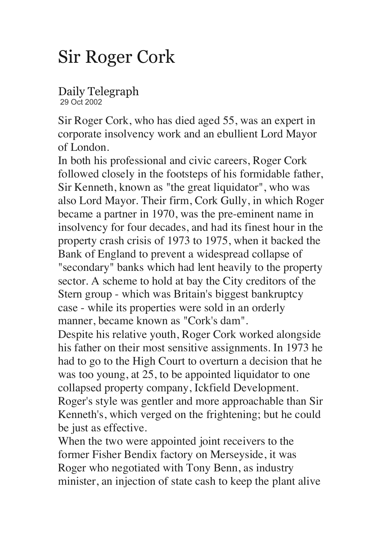## Sir Roger Cork

Daily Telegraph 29 Oct 2002

Sir Roger Cork, who has died aged 55, was an expert in corporate insolvency work and an ebullient Lord Mayor of London.

In both his professional and civic careers, Roger Cork followed closely in the footsteps of his formidable father, Sir Kenneth, known as "the great liquidator", who was also Lord Mayor. Their firm, Cork Gully, in which Roger became a partner in 1970, was the pre-eminent name in insolvency for four decades, and had its finest hour in the property crash crisis of 1973 to 1975, when it backed the Bank of England to prevent a widespread collapse of "secondary" banks which had lent heavily to the property sector. A scheme to hold at bay the City creditors of the Stern group - which was Britain's biggest bankruptcy case - while its properties were sold in an orderly manner, became known as "Cork's dam".

Despite his relative youth, Roger Cork worked alongside his father on their most sensitive assignments. In 1973 he had to go to the High Court to overturn a decision that he was too young, at 25, to be appointed liquidator to one collapsed property company, Ickfield Development. Roger's style was gentler and more approachable than Sir Kenneth's, which verged on the frightening; but he could be just as effective.

When the two were appointed joint receivers to the former Fisher Bendix factory on Merseyside, it was Roger who negotiated with Tony Benn, as industry minister, an injection of state cash to keep the plant alive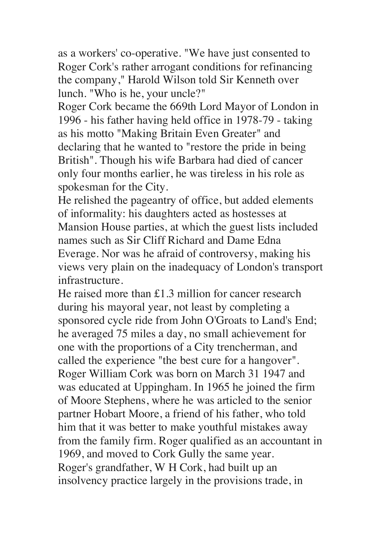as a workers' co-operative. "We have just consented to Roger Cork's rather arrogant conditions for refinancing the company," Harold Wilson told Sir Kenneth over lunch. "Who is he, your uncle?"

Roger Cork became the 669th Lord Mayor of London in 1996 - his father having held office in 1978-79 - taking as his motto "Making Britain Even Greater" and declaring that he wanted to "restore the pride in being British". Though his wife Barbara had died of cancer only four months earlier, he was tireless in his role as spokesman for the City.

He relished the pageantry of office, but added elements of informality: his daughters acted as hostesses at Mansion House parties, at which the guest lists included names such as Sir Cliff Richard and Dame Edna Everage. Nor was he afraid of controversy, making his views very plain on the inadequacy of London's transport infrastructure.

He raised more than £1.3 million for cancer research during his mayoral year, not least by completing a sponsored cycle ride from John O'Groats to Land's End; he averaged 75 miles a day, no small achievement for one with the proportions of a City trencherman, and called the experience "the best cure for a hangover". Roger William Cork was born on March 31 1947 and was educated at Uppingham. In 1965 he joined the firm of Moore Stephens, where he was articled to the senior partner Hobart Moore, a friend of his father, who told him that it was better to make youthful mistakes away from the family firm. Roger qualified as an accountant in 1969, and moved to Cork Gully the same year. Roger's grandfather, W H Cork, had built up an insolvency practice largely in the provisions trade, in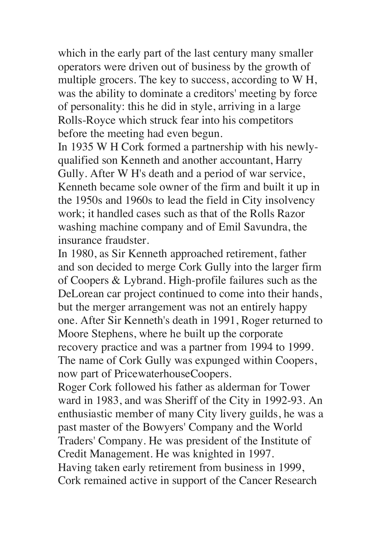which in the early part of the last century many smaller operators were driven out of business by the growth of multiple grocers. The key to success, according to W H, was the ability to dominate a creditors' meeting by force of personality: this he did in style, arriving in a large Rolls-Royce which struck fear into his competitors before the meeting had even begun.

In 1935 W H Cork formed a partnership with his newlyqualified son Kenneth and another accountant, Harry Gully. After W H's death and a period of war service, Kenneth became sole owner of the firm and built it up in the 1950s and 1960s to lead the field in City insolvency work; it handled cases such as that of the Rolls Razor washing machine company and of Emil Savundra, the insurance fraudster.

In 1980, as Sir Kenneth approached retirement, father and son decided to merge Cork Gully into the larger firm of Coopers & Lybrand. High-profile failures such as the DeLorean car project continued to come into their hands, but the merger arrangement was not an entirely happy one. After Sir Kenneth's death in 1991, Roger returned to Moore Stephens, where he built up the corporate recovery practice and was a partner from 1994 to 1999. The name of Cork Gully was expunged within Coopers, now part of PricewaterhouseCoopers.

Roger Cork followed his father as alderman for Tower ward in 1983, and was Sheriff of the City in 1992-93. An enthusiastic member of many City livery guilds, he was a past master of the Bowyers' Company and the World Traders' Company. He was president of the Institute of Credit Management. He was knighted in 1997. Having taken early retirement from business in 1999, Cork remained active in support of the Cancer Research